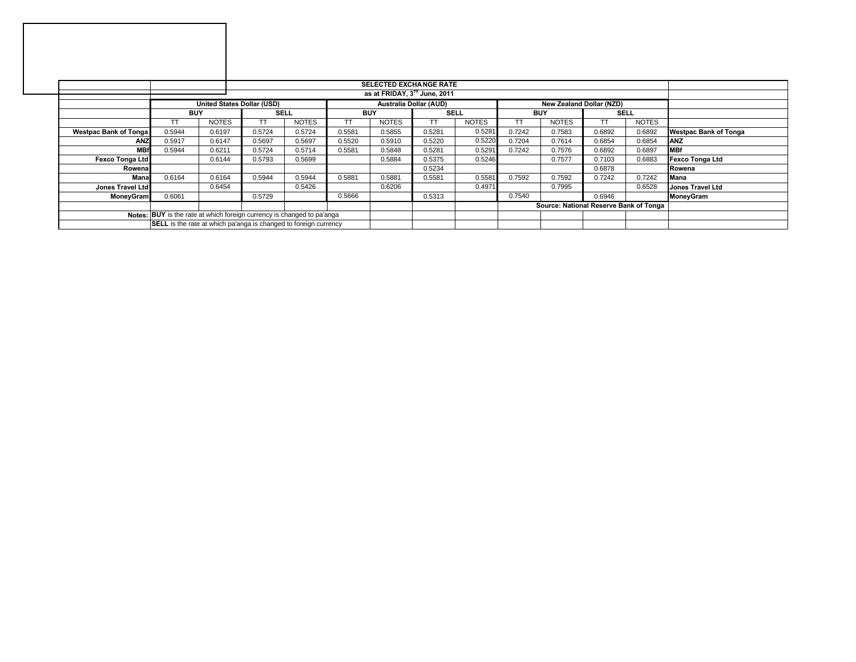|                                                                        |                                                                                         |              |             |              |            | <b>SELECTED EXCHANGE RATE</b> |             |              |            |                                        |             |              |                              |
|------------------------------------------------------------------------|-----------------------------------------------------------------------------------------|--------------|-------------|--------------|------------|-------------------------------|-------------|--------------|------------|----------------------------------------|-------------|--------------|------------------------------|
|                                                                        |                                                                                         |              |             |              |            |                               |             |              |            |                                        |             |              |                              |
|                                                                        | United States Dollar (USD)<br>New Zealand Dollar (NZD)<br><b>Australia Dollar (AUD)</b> |              |             |              |            |                               |             |              |            |                                        |             |              |                              |
|                                                                        | <b>BUY</b>                                                                              |              | <b>SELL</b> |              | <b>BUY</b> |                               | <b>SELL</b> |              | <b>BUY</b> |                                        | <b>SELL</b> |              |                              |
|                                                                        | TΤ                                                                                      | <b>NOTES</b> | TT.         | <b>NOTES</b> | TT         | <b>NOTES</b>                  | TT          | <b>NOTES</b> |            | <b>NOTES</b>                           |             | <b>NOTES</b> |                              |
| <b>Westpac Bank of Tonga</b>                                           | 0.5944                                                                                  | 0.6197       | 0.5724      | 0.5724       | 0.5581     | 0.5855                        | 0.5281      | 0.5281       | 0.7242     | 0.7583                                 | 0.6892      | 0.6892       | <b>Westpac Bank of Tonga</b> |
| <b>ANZ</b>                                                             | 0.5917                                                                                  | 0.6147       | 0.5697      | 0.5697       | 0.5520     | 0.5910                        | 0.5220      | 0.5220       | 0.7204     | 0.7614                                 | 0.6854      | 0.6854       | <b>ANZ</b>                   |
| <b>MBf</b>                                                             | 0.5944                                                                                  | 0.6211       | 0.5724      | 0.5714       | 0.5581     | 0.5848                        | 0.5281      | 0.5291       | 0.7242     | 0.7576                                 | 0.6892      | 0.6897       | <b>MBf</b>                   |
| <b>Fexco Tonga Ltd</b>                                                 |                                                                                         | 0.6144       | 0.5793      | 0.5699       |            | 0.5884                        | 0.5375      | 0.5246       |            | 0.7577                                 | 0.7103      | 0.6883       | Fexco Tonga Ltd              |
| Rowena                                                                 |                                                                                         |              |             |              |            |                               | 0.5234      |              |            |                                        | 0.6878      |              | <b>IRowena</b>               |
| Mana                                                                   | 0.6164                                                                                  | 0.6164       | 0.5944      | 0.5944       | 0.5881     | 0.5881                        | 0.5581      | 0.5581       | 0.7592     | 0.7592                                 | 0.7242      | 0.7242       | <b>Mana</b>                  |
| Jones Travel Ltd                                                       |                                                                                         | 0.6454       |             | 0.5426       |            | 0.6206                        |             | 0.4971       |            | 0.7995                                 |             | 0.6528       | <b>Jones Travel Ltd</b>      |
| <b>MoneyGram</b>                                                       | 0.6061                                                                                  |              | 0.5729      |              | 0.5666     |                               | 0.5313      |              | 0.7540     |                                        | 0.6946      |              | MoneyGram                    |
|                                                                        |                                                                                         |              |             |              |            |                               |             |              |            | Source: National Reserve Bank of Tonga |             |              |                              |
| Notes: BUY is the rate at which foreign currency is changed to pa'anga |                                                                                         |              |             |              |            |                               |             |              |            |                                        |             |              |                              |
|                                                                        | SELL is the rate at which pa'anga is changed to foreign currency                        |              |             |              |            |                               |             |              |            |                                        |             |              |                              |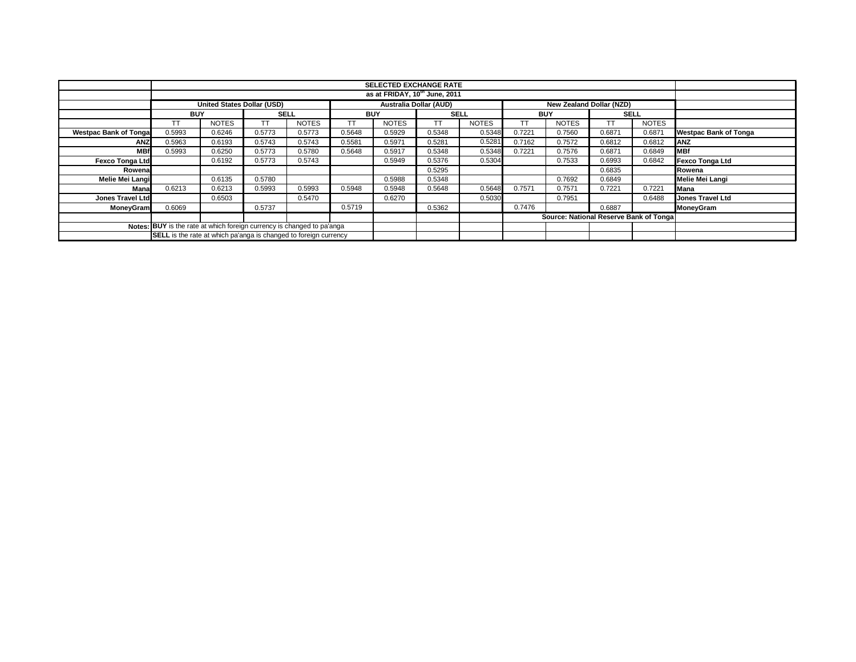|                                                                        |                                                                                  |              |             |              |            | <b>SELECTED EXCHANGE RATE</b><br>as at FRIDAY, 10 <sup>th</sup> June, 2011 |             |              |            |                                        |             |              |                              |
|------------------------------------------------------------------------|----------------------------------------------------------------------------------|--------------|-------------|--------------|------------|----------------------------------------------------------------------------|-------------|--------------|------------|----------------------------------------|-------------|--------------|------------------------------|
|                                                                        |                                                                                  |              |             |              |            |                                                                            |             |              |            |                                        |             |              |                              |
|                                                                        | United States Dollar (USD)<br>Australia Dollar (AUD)<br>New Zealand Dollar (NZD) |              |             |              |            |                                                                            |             |              |            |                                        |             |              |                              |
|                                                                        | <b>BUY</b>                                                                       |              | <b>SELL</b> |              | <b>BUY</b> |                                                                            | <b>SELL</b> |              | <b>BUY</b> |                                        | <b>SELL</b> |              |                              |
|                                                                        | TΤ                                                                               | <b>NOTES</b> |             | <b>NOTES</b> | TT         | <b>NOTES</b>                                                               | ТT          | <b>NOTES</b> |            | <b>NOTES</b>                           | ТT          | <b>NOTES</b> |                              |
| <b>Westpac Bank of Tonga</b>                                           | 0.5993                                                                           | 0.6246       | 0.5773      | 0.5773       | 0.5648     | 0.5929                                                                     | 0.5348      | 0.5348       | 0.7221     | 0.7560                                 | 0.6871      | 0.6871       | <b>Westpac Bank of Tonga</b> |
| ANZ                                                                    | 0.5963                                                                           | 0.6193       | 0.5743      | 0.5743       | 0.5581     | 0.5971                                                                     | 0.5281      | 0.5281       | 0.7162     | 0.7572                                 | 0.6812      | 0.6812       | <b>ANZ</b>                   |
| <b>MBf</b>                                                             | 0.5993                                                                           | 0.6250       | 0.5773      | 0.5780       | 0.5648     | 0.5917                                                                     | 0.5348      | 0.5348       | 0.7221     | 0.7576                                 | 0.6871      | 0.6849       | <b>MBf</b>                   |
| <b>Fexco Tonga Ltd</b>                                                 |                                                                                  | 0.6192       | 0.5773      | 0.5743       |            | 0.5949                                                                     | 0.5376      | 0.5304       |            | 0.7533                                 | 0.6993      | 0.6842       | <b>Fexco Tonga Ltd</b>       |
| Rowena                                                                 |                                                                                  |              |             |              |            |                                                                            | 0.5295      |              |            |                                        | 0.6835      |              | Rowena                       |
| Melie Mei Langi                                                        |                                                                                  | 0.6135       | 0.5780      |              |            | 0.5988                                                                     | 0.5348      |              |            | 0.7692                                 | 0.6849      |              | Melie Mei Langi              |
| Mana                                                                   | 0.6213                                                                           | 0.6213       | 0.5993      | 0.5993       | 0.5948     | 0.5948                                                                     | 0.5648      | 0.5648       | 0.7571     | 0.7571                                 | 0.7221      | 0.7221       | Mana                         |
| <b>Jones Travel Ltd</b>                                                |                                                                                  | 0.6503       |             | 0.5470       |            | 0.6270                                                                     |             | 0.5030       |            | 0.7951                                 |             | 0.6488       | Jones Travel Ltd             |
| <b>MoneyGram</b>                                                       | 0.6069                                                                           |              | 0.5737      |              | 0.5719     |                                                                            | 0.5362      |              | 0.7476     |                                        | 0.6887      |              | MoneyGram                    |
|                                                                        |                                                                                  |              |             |              |            |                                                                            |             |              |            | Source: National Reserve Bank of Tonga |             |              |                              |
| Notes: BUY is the rate at which foreign currency is changed to pa'anga |                                                                                  |              |             |              |            |                                                                            |             |              |            |                                        |             |              |                              |
|                                                                        | <b>SELL</b> is the rate at which pa'anga is changed to foreign currency          |              |             |              |            |                                                                            |             |              |            |                                        |             |              |                              |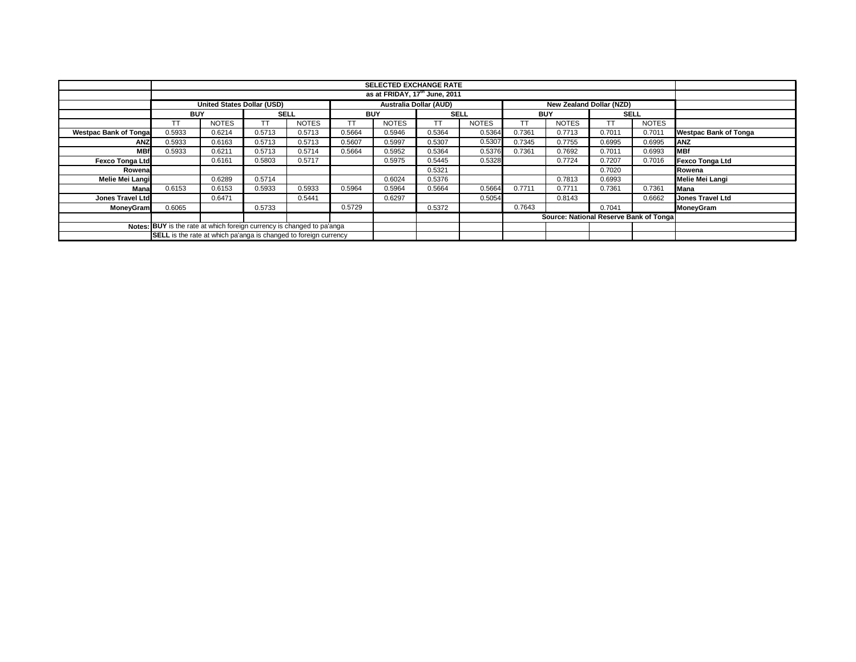| <b>SELECTED EXCHANGE RATE</b>                                          |                                                                                         |              |             |              |            |              |             |              |                                        |              |        |              |                              |
|------------------------------------------------------------------------|-----------------------------------------------------------------------------------------|--------------|-------------|--------------|------------|--------------|-------------|--------------|----------------------------------------|--------------|--------|--------------|------------------------------|
|                                                                        |                                                                                         |              |             |              |            |              |             |              |                                        |              |        |              |                              |
|                                                                        |                                                                                         |              |             |              |            |              |             |              |                                        |              |        |              |                              |
|                                                                        | <b>United States Dollar (USD)</b><br>New Zealand Dollar (NZD)<br>Australia Dollar (AUD) |              |             |              |            |              |             |              |                                        |              |        |              |                              |
|                                                                        | <b>BUY</b>                                                                              |              | <b>SELL</b> |              | <b>BUY</b> |              | <b>SELL</b> |              | <b>BUY</b>                             |              |        | <b>SELL</b>  |                              |
|                                                                        | TΤ                                                                                      | <b>NOTES</b> |             | <b>NOTES</b> | ТT         | <b>NOTES</b> | ТT          | <b>NOTES</b> |                                        | <b>NOTES</b> | ТT     | <b>NOTES</b> |                              |
| <b>Westpac Bank of Tonga</b>                                           | 0.5933                                                                                  | 0.6214       | 0.5713      | 0.5713       | 0.5664     | 0.5946       | 0.5364      | 0.5364       | 0.7361                                 | 0.7713       | 0.7011 | 0.7011       | <b>Westpac Bank of Tonga</b> |
| ANZ                                                                    | 0.5933                                                                                  | 0.6163       | 0.5713      | 0.5713       | 0.5607     | 0.5997       | 0.5307      | 0.5307       | 0.7345                                 | 0.7755       | 0.6995 | 0.6995       | ANZ                          |
| <b>MBf</b>                                                             | 0.5933                                                                                  | 0.6211       | 0.5713      | 0.5714       | 0.5664     | 0.5952       | 0.5364      | 0.5376       | 0.7361                                 | 0.7692       | 0.7011 | 0.6993       | <b>MBf</b>                   |
| <b>Fexco Tonga Ltd</b>                                                 |                                                                                         | 0.6161       | 0.5803      | 0.5717       |            | 0.5975       | 0.5445      | 0.5328       |                                        | 0.7724       | 0.7207 | 0.7016       | <b>Fexco Tonga Ltd</b>       |
| Rowenal                                                                |                                                                                         |              |             |              |            |              | 0.5321      |              |                                        |              | 0.7020 |              | Rowena                       |
| Melie Mei Langi                                                        |                                                                                         | 0.6289       | 0.5714      |              |            | 0.6024       | 0.5376      |              |                                        | 0.7813       | 0.6993 |              | Melie Mei Langi              |
| Mana                                                                   | 0.6153                                                                                  | 0.6153       | 0.5933      | 0.5933       | 0.5964     | 0.5964       | 0.5664      | 0.5664       | 0.7711                                 | 0.7711       | 0.7361 | 0.7361       | Mana                         |
| <b>Jones Travel Ltd</b>                                                |                                                                                         | 0.6471       |             | 0.5441       |            | 0.6297       |             | 0.5054       |                                        | 0.8143       |        | 0.6662       | <b>Jones Travel Ltd</b>      |
| <b>MoneyGram</b>                                                       | 0.6065                                                                                  |              | 0.5733      |              | 0.5729     |              | 0.5372      |              | 0.7643                                 |              | 0.7041 |              | MoneyGram                    |
|                                                                        |                                                                                         |              |             |              |            |              |             |              | Source: National Reserve Bank of Tonga |              |        |              |                              |
| Notes: BUY is the rate at which foreign currency is changed to pa'anga |                                                                                         |              |             |              |            |              |             |              |                                        |              |        |              |                              |
|                                                                        | <b>SELL</b> is the rate at which pa'anga is changed to foreign currency                 |              |             |              |            |              |             |              |                                        |              |        |              |                              |